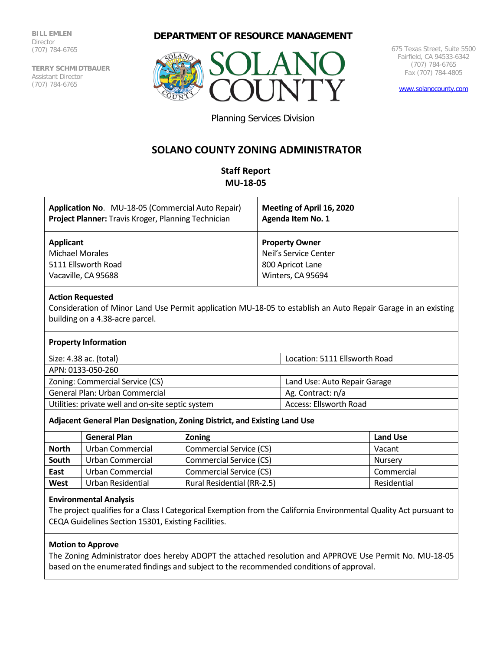**BILL EMLEN** Director (707) 784-6765

**TERRY SCHMIDTBAUER** Assistant Director (707) 784-6765

# **DEPARTMENT OF RESOURCE MANAGEMENT**



675 Texas Street, Suite 5500 Fairfield, CA 94533-6342 (707) 784-6765 Fax (707) 784-4805

[www.solanocounty.com](http://www.solanocounty.com/)

Planning Services Division

# **SOLANO COUNTY ZONING ADMINISTRATOR**

# **Staff Report MU-18-05**

| Application No. MU-18-05 (Commercial Auto Repair)   | Meeting of April 16, 2020 |
|-----------------------------------------------------|---------------------------|
| Project Planner: Travis Kroger, Planning Technician | <b>Agenda Item No. 1</b>  |
| Applicant                                           | <b>Property Owner</b>     |
| <b>Michael Morales</b>                              | Neil's Service Center     |
| 5111 Ellsworth Road                                 | 800 Apricot Lane          |
| Vacaville, CA 95688                                 | Winters, CA 95694         |

## **Action Requested**

Consideration of Minor Land Use Permit application MU-18-05 to establish an Auto Repair Garage in an existing building on a 4.38-acre parcel.

## **Property Information**

| Size: 4.38 ac. (total)                            | Location: 5111 Ellsworth Road |
|---------------------------------------------------|-------------------------------|
| APN: 0133-050-260                                 |                               |
| Zoning: Commercial Service (CS)                   | Land Use: Auto Repair Garage  |
| General Plan: Urban Commercial                    | Ag. Contract: n/a             |
| Utilities: private well and on-site septic system | Access: Ellsworth Road        |

# **Adjacent General Plan Designation, Zoning District, and Existing Land Use**

|              | <b>General Plan</b> | <b>Zoning</b>              | <b>Land Use</b> |
|--------------|---------------------|----------------------------|-----------------|
| <b>North</b> | Urban Commercial    | Commercial Service (CS)    | Vacant          |
| South        | Urban Commercial    | Commercial Service (CS)    | Nurserv         |
| East         | Urban Commercial    | Commercial Service (CS)    | Commercial      |
| West         | Urban Residential   | Rural Residential (RR-2.5) | Residential     |

### **Environmental Analysis**

The project qualifies for a Class I Categorical Exemption from the California Environmental Quality Act pursuant to CEQA Guidelines Section 15301, Existing Facilities.

# **Motion to Approve**

The Zoning Administrator does hereby ADOPT the attached resolution and APPROVE Use Permit No. MU-18-05 based on the enumerated findings and subject to the recommended conditions of approval.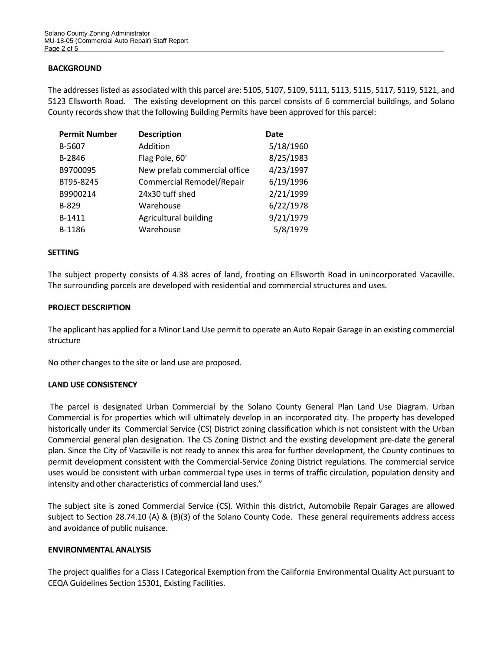## **BACKGROUND**

The addresses listed as associated with this parcel are: 5105, 5107, 5109, 5111, 5113, 5115, 5117, 5119, 5121, and 5123 Ellsworth Road. The existing development on this parcel consists of 6 commercial buildings, and Solano County records show that the following Building Permits have been approved for this parcel:

| <b>Permit Number</b> | <b>Description</b>               | Date      |
|----------------------|----------------------------------|-----------|
| B-5607               | Addition                         | 5/18/1960 |
| B-2846               | Flag Pole, 60'                   | 8/25/1983 |
| B9700095             | New prefab commercial office     | 4/23/1997 |
| BT95-8245            | <b>Commercial Remodel/Repair</b> | 6/19/1996 |
| B9900214             | 24x30 tuff shed                  | 2/21/1999 |
| B-829                | Warehouse                        | 6/22/1978 |
| B-1411               | Agricultural building            | 9/21/1979 |
| B-1186               | Warehouse                        | 5/8/1979  |

### **SETTING**

The subject property consists of 4.38 acres of land, fronting on Ellsworth Road in unincorporated Vacaville. The surrounding parcels are developed with residential and commercial structures and uses.

#### **PROJECT DESCRIPTION**

The applicant has applied for a Minor Land Use permit to operate an Auto Repair Garage in an existing commercial structure

No other changes to the site or land use are proposed.

### **LAND USE CONSISTENCY**

The parcel is designated Urban Commercial by the Solano County General Plan Land Use Diagram. Urban Commercial is for properties which will ultimately develop in an incorporated city. The property has developed historically under its Commercial Service (CS) District zoning classification which is not consistent with the Urban Commercial general plan designation. The CS Zoning District and the existing development pre-date the general plan. Since the City of Vacaville is not ready to annex this area for further development, the County continues to permit development consistent with the Commercial-Service Zoning District regulations. The commercial service uses would be consistent with urban commercial type uses in terms of traffic circulation, population density and intensity and other characteristics of commercial land uses."

The subject site is zoned Commercial Service (CS). Within this district, Automobile Repair Garages are allowed subject to Section 28.74.10 (A) & (B)(3) of the Solano County Code. These general requirements address access and avoidance of public nuisance.

#### **ENVIRONMENTAL ANALYSIS**

The project qualifies for a Class I Categorical Exemption from the California Environmental Quality Act pursuant to CEQA Guidelines Section 15301, Existing Facilities.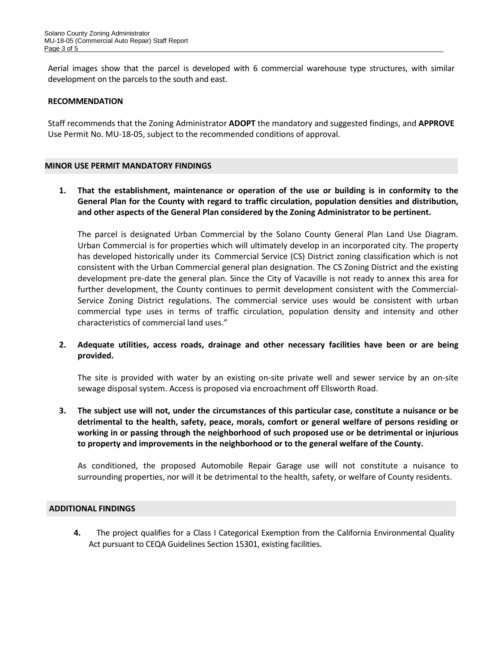Aerial images show that the parcel is developed with 6 commercial warehouse type structures, with similar development on the parcels to the south and east.

## **RECOMMENDATION**

Staff recommends that the Zoning Administrator **ADOPT** the mandatory and suggested findings, and **APPROVE** Use Permit No. MU-18-05, subject to the recommended conditions of approval.

## **MINOR USE PERMIT MANDATORY FINDINGS**

**1. That the establishment, maintenance or operation of the use or building is in conformity to the General Plan for the County with regard to traffic circulation, population densities and distribution, and other aspects of the General Plan considered by the Zoning Administrator to be pertinent.**

 The parcel is designated Urban Commercial by the Solano County General Plan Land Use Diagram. Urban Commercial is for properties which will ultimately develop in an incorporated city. The property has developed historically under its Commercial Service (CS) District zoning classification which is not consistent with the Urban Commercial general plan designation. The CS Zoning District and the existing development pre-date the general plan. Since the City of Vacaville is not ready to annex this area for further development, the County continues to permit development consistent with the Commercial-Service Zoning District regulations. The commercial service uses would be consistent with urban commercial type uses in terms of traffic circulation, population density and intensity and other characteristics of commercial land uses."

# **2. Adequate utilities, access roads, drainage and other necessary facilities have been or are being provided.**

The site is provided with water by an existing on-site private well and sewer service by an on-site sewage disposal system. Access is proposed via encroachment off Ellsworth Road.

**3. The subject use will not, under the circumstances of this particular case, constitute a nuisance or be detrimental to the health, safety, peace, morals, comfort or general welfare of persons residing or working in or passing through the neighborhood of such proposed use or be detrimental or injurious to property and improvements in the neighborhood or to the general welfare of the County.**

As conditioned, the proposed Automobile Repair Garage use will not constitute a nuisance to surrounding properties, nor will it be detrimental to the health, safety, or welfare of County residents.

### **ADDITIONAL FINDINGS**

**4.** The project qualifies for a Class I Categorical Exemption from the California Environmental Quality Act pursuant to CEQA Guidelines Section 15301, existing facilities.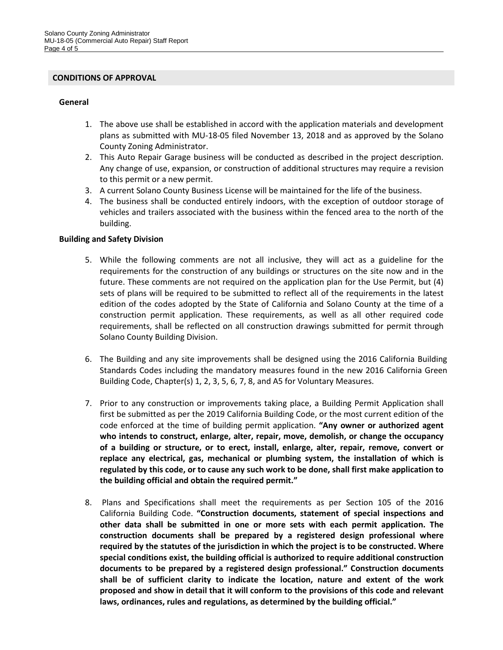#### **CONDITIONS OF APPROVAL**

## **General**

- 1. The above use shall be established in accord with the application materials and development plans as submitted with MU-18-05 filed November 13, 2018 and as approved by the Solano County Zoning Administrator.
- 2. This Auto Repair Garage business will be conducted as described in the project description. Any change of use, expansion, or construction of additional structures may require a revision to this permit or a new permit.
- 3. A current Solano County Business License will be maintained for the life of the business.
- 4. The business shall be conducted entirely indoors, with the exception of outdoor storage of vehicles and trailers associated with the business within the fenced area to the north of the building.

# **Building and Safety Division**

- 5. While the following comments are not all inclusive, they will act as a guideline for the requirements for the construction of any buildings or structures on the site now and in the future. These comments are not required on the application plan for the Use Permit, but (4) sets of plans will be required to be submitted to reflect all of the requirements in the latest edition of the codes adopted by the State of California and Solano County at the time of a construction permit application. These requirements, as well as all other required code requirements, shall be reflected on all construction drawings submitted for permit through Solano County Building Division.
- 6. The Building and any site improvements shall be designed using the 2016 California Building Standards Codes including the mandatory measures found in the new 2016 California Green Building Code, Chapter(s) 1, 2, 3, 5, 6, 7, 8, and A5 for Voluntary Measures.
- 7. Prior to any construction or improvements taking place, a Building Permit Application shall first be submitted as per the 2019 California Building Code, or the most current edition of the code enforced at the time of building permit application. **"Any owner or authorized agent who intends to construct, enlarge, alter, repair, move, demolish, or change the occupancy of a building or structure, or to erect, install, enlarge, alter, repair, remove, convert or replace any electrical, gas, mechanical or plumbing system, the installation of which is regulated by this code, or to cause any such work to be done, shall first make application to the building official and obtain the required permit."**
- 8. Plans and Specifications shall meet the requirements as per Section 105 of the 2016 California Building Code. **"Construction documents, statement of special inspections and other data shall be submitted in one or more sets with each permit application. The construction documents shall be prepared by a registered design professional where required by the statutes of the jurisdiction in which the project is to be constructed. Where special conditions exist, the building official is authorized to require additional construction documents to be prepared by a registered design professional." Construction documents shall be of sufficient clarity to indicate the location, nature and extent of the work proposed and show in detail that it will conform to the provisions of this code and relevant laws, ordinances, rules and regulations, as determined by the building official."**